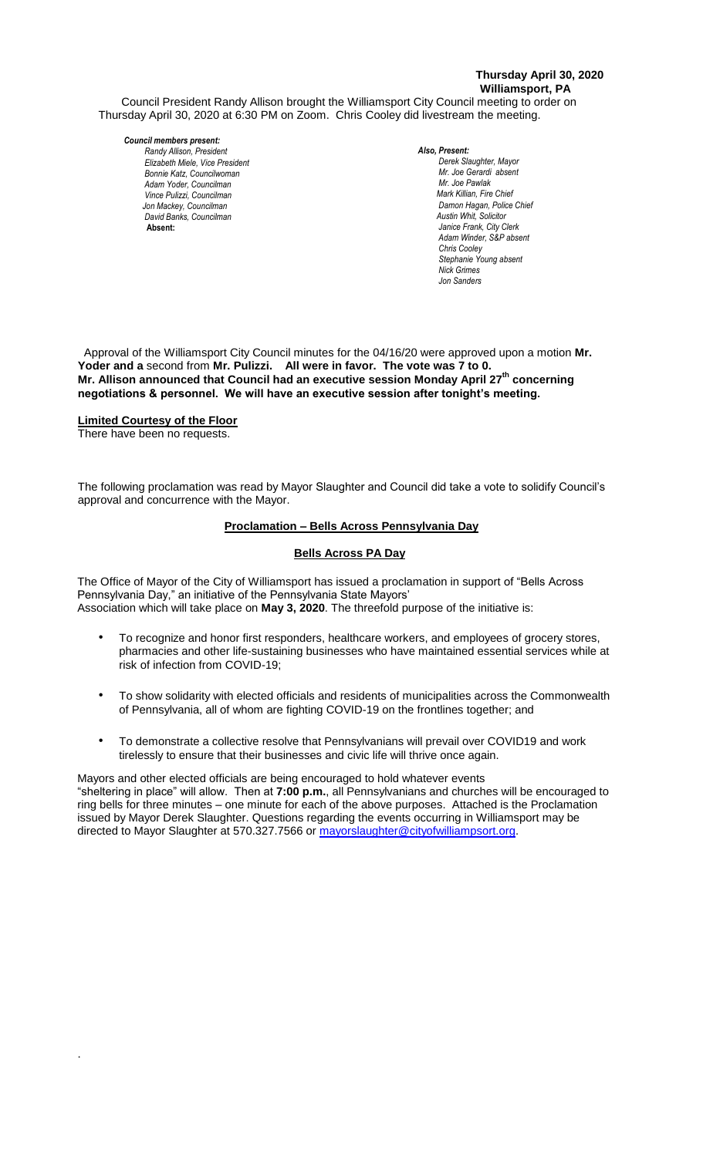## **Thursday April 30, 2020 Williamsport, PA**

Council President Randy Allison brought the Williamsport City Council meeting to order on Thursday April 30, 2020 at 6:30 PM on Zoom. Chris Cooley did livestream the meeting.

# *Council members present:*

*Randy Allison, President , President Elizabeth Miele, Vice President Bonnie Katz, Councilwoman Adam Yoder, Councilman Vince Pulizzi, Councilman Jon Mackey, Councilman David Banks, Councilman* **Absent:** 

#### *Also, Present:*

*Derek Slaughter, Mayor Mr. Joe Gerardi absent Mr. Joe Pawlak Mark Killian, Fire Chief Adam Winder C. Dean Heinbach, Fire Chief*  $D$ amon Hagan, Police Chief  *Austin Whit, Solicitor Janice Frank, City Clerk Adam Winder, S&P absent Chris Cooley Stephanie Young absent Nick Grimes Jon Sanders*

 Approval of the Williamsport City Council minutes for the 04/16/20 were approved upon a motion **Mr. Yoder and a** second from **Mr. Pulizzi. All were in favor. The vote was 7 to 0. Mr. Allison announced that Council had an executive session Monday April 27th concerning negotiations & personnel. We will have an executive session after tonight's meeting.** 

# **Limited Courtesy of the Floor**

There have been no requests.

.

The following proclamation was read by Mayor Slaughter and Council did take a vote to solidify Council's *Janice Frank, City Clerk, absent* approval and concurrence with the Mayor. *Todd Heckman, Fire Chief ,* 

#### **Proclamation – Bells Across Pennsylvania Day**

### **Bells Across PA Day**

The Office of Mayor of the City of Williamsport has issued a proclamation in support of "Bells Across *Members of News Media* Pennsylvania Day," an initiative of the Pennsylvania State Mayors' Association which will take place on **May 3, 2020**. The threefold purpose of the initiative is: *Members of the news media*

- To recognize and honor first responders, healthcare workers, and employees of grocery stores, pharmacies and other life-sustaining businesses who have maintained essential services while at risk of infection from COVID-19;
- To show solidarity with elected officials and residents of municipalities across the Commonwealth of Pennsylvania, all of whom are fighting COVID-19 on the frontlines together; and
- To demonstrate a collective resolve that Pennsylvanians will prevail over COVID19 and work tirelessly to ensure that their businesses and civic life will thrive once again.

Mayors and other elected officials are being encouraged to hold whatever events "sheltering in place" will allow. Then at **7:00 p.m.**, all Pennsylvanians and churches will be encouraged to ring bells for three minutes – one minute for each of the above purposes. Attached is the Proclamation issued by Mayor Derek Slaughter. Questions regarding the events occurring in Williamsport may be directed to Mayor Slaughter at 570.327.7566 or mayorslaughter@cityofwilliampsort.org.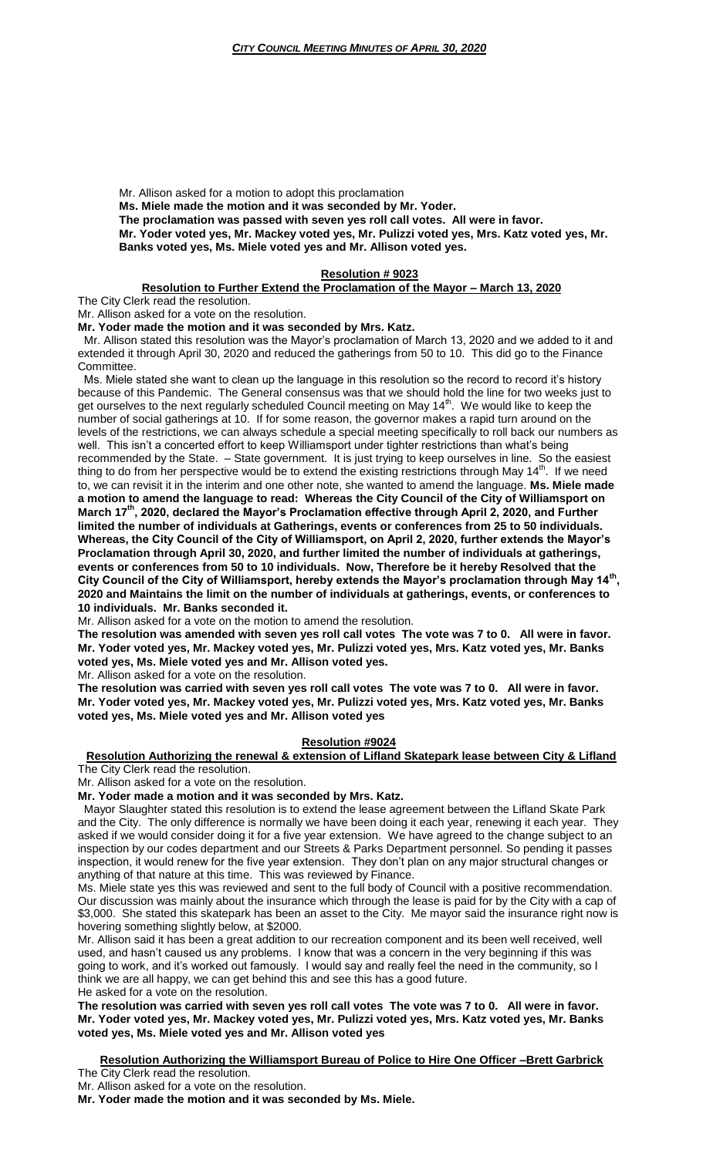Mr. Allison asked for a motion to adopt this proclamation

**Ms. Miele made the motion and it was seconded by Mr. Yoder.**

**The proclamation was passed with seven yes roll call votes. All were in favor.**

**Mr. Yoder voted yes, Mr. Mackey voted yes, Mr. Pulizzi voted yes, Mrs. Katz voted yes, Mr. Banks voted yes, Ms. Miele voted yes and Mr. Allison voted yes.**

#### **Resolution # 9023**

#### **Resolution to Further Extend the Proclamation of the Mayor – March 13, 2020**

The City Clerk read the resolution.

Mr. Allison asked for a vote on the resolution.

**Mr. Yoder made the motion and it was seconded by Mrs. Katz.**

 Mr. Allison stated this resolution was the Mayor's proclamation of March 13, 2020 and we added to it and extended it through April 30, 2020 and reduced the gatherings from 50 to 10. This did go to the Finance Committee.

 Ms. Miele stated she want to clean up the language in this resolution so the record to record it's history because of this Pandemic. The General consensus was that we should hold the line for two weeks just to get ourselves to the next regularly scheduled Council meeting on May  $14<sup>th</sup>$ . We would like to keep the number of social gatherings at 10. If for some reason, the governor makes a rapid turn around on the levels of the restrictions, we can always schedule a special meeting specifically to roll back our numbers as well. This isn't a concerted effort to keep Williamsport under tighter restrictions than what's being recommended by the State. – State government. It is just trying to keep ourselves in line. So the easiest thing to do from her perspective would be to extend the existing restrictions through May 14<sup>th</sup>. If we need to, we can revisit it in the interim and one other note, she wanted to amend the language. **Ms. Miele made a motion to amend the language to read: Whereas the City Council of the City of Williamsport on March 17th, 2020, declared the Mayor's Proclamation effective through April 2, 2020, and Further limited the number of individuals at Gatherings, events or conferences from 25 to 50 individuals. Whereas, the City Council of the City of Williamsport, on April 2, 2020, further extends the Mayor's Proclamation through April 30, 2020, and further limited the number of individuals at gatherings, events or conferences from 50 to 10 individuals. Now, Therefore be it hereby Resolved that the City Council of the City of Williamsport, hereby extends the Mayor's proclamation through May 14th , 2020 and Maintains the limit on the number of individuals at gatherings, events, or conferences to 10 individuals. Mr. Banks seconded it.**

Mr. Allison asked for a vote on the motion to amend the resolution.

**The resolution was amended with seven yes roll call votes The vote was 7 to 0. All were in favor. Mr. Yoder voted yes, Mr. Mackey voted yes, Mr. Pulizzi voted yes, Mrs. Katz voted yes, Mr. Banks voted yes, Ms. Miele voted yes and Mr. Allison voted yes.**

Mr. Allison asked for a vote on the resolution.

**The resolution was carried with seven yes roll call votes The vote was 7 to 0. All were in favor. Mr. Yoder voted yes, Mr. Mackey voted yes, Mr. Pulizzi voted yes, Mrs. Katz voted yes, Mr. Banks voted yes, Ms. Miele voted yes and Mr. Allison voted yes**

# **Resolution #9024**

#### **Resolution Authorizing the renewal & extension of Lifland Skatepark lease between City & Lifland** The City Clerk read the resolution.

Mr. Allison asked for a vote on the resolution.

**Mr. Yoder made a motion and it was seconded by Mrs. Katz.**

 Mayor Slaughter stated this resolution is to extend the lease agreement between the Lifland Skate Park and the City. The only difference is normally we have been doing it each year, renewing it each year. They asked if we would consider doing it for a five year extension. We have agreed to the change subject to an inspection by our codes department and our Streets & Parks Department personnel. So pending it passes inspection, it would renew for the five year extension. They don't plan on any major structural changes or anything of that nature at this time. This was reviewed by Finance.

Ms. Miele state yes this was reviewed and sent to the full body of Council with a positive recommendation. Our discussion was mainly about the insurance which through the lease is paid for by the City with a cap of \$3,000. She stated this skatepark has been an asset to the City. Me mayor said the insurance right now is hovering something slightly below, at \$2000.

Mr. Allison said it has been a great addition to our recreation component and its been well received, well used, and hasn't caused us any problems. I know that was a concern in the very beginning if this was going to work, and it's worked out famously. I would say and really feel the need in the community, so I think we are all happy, we can get behind this and see this has a good future. He asked for a vote on the resolution.

**The resolution was carried with seven yes roll call votes The vote was 7 to 0. All were in favor. Mr. Yoder voted yes, Mr. Mackey voted yes, Mr. Pulizzi voted yes, Mrs. Katz voted yes, Mr. Banks voted yes, Ms. Miele voted yes and Mr. Allison voted yes**

# **Resolution Authorizing the Williamsport Bureau of Police to Hire One Officer –Brett Garbrick**

The City Clerk read the resolution.

Mr. Allison asked for a vote on the resolution.

**Mr. Yoder made the motion and it was seconded by Ms. Miele.**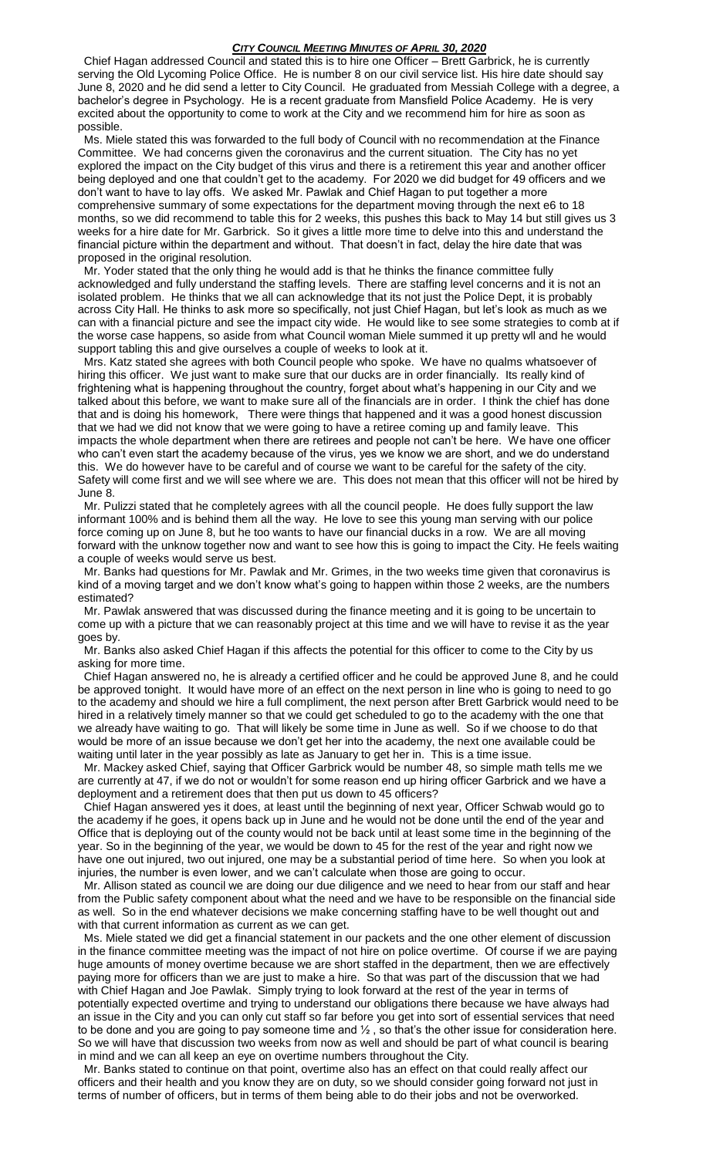#### *CITY COUNCIL MEETING MINUTES OF APRIL 30, 2020*

 Chief Hagan addressed Council and stated this is to hire one Officer – Brett Garbrick, he is currently serving the Old Lycoming Police Office. He is number 8 on our civil service list. His hire date should say June 8, 2020 and he did send a letter to City Council. He graduated from Messiah College with a degree, a bachelor's degree in Psychology. He is a recent graduate from Mansfield Police Academy. He is very excited about the opportunity to come to work at the City and we recommend him for hire as soon as possible.

 Ms. Miele stated this was forwarded to the full body of Council with no recommendation at the Finance Committee. We had concerns given the coronavirus and the current situation. The City has no yet explored the impact on the City budget of this virus and there is a retirement this year and another officer being deployed and one that couldn't get to the academy. For 2020 we did budget for 49 officers and we don't want to have to lay offs. We asked Mr. Pawlak and Chief Hagan to put together a more comprehensive summary of some expectations for the department moving through the next e6 to 18 months, so we did recommend to table this for 2 weeks, this pushes this back to May 14 but still gives us 3 weeks for a hire date for Mr. Garbrick. So it gives a little more time to delve into this and understand the financial picture within the department and without. That doesn't in fact, delay the hire date that was proposed in the original resolution.

 Mr. Yoder stated that the only thing he would add is that he thinks the finance committee fully acknowledged and fully understand the staffing levels. There are staffing level concerns and it is not an isolated problem. He thinks that we all can acknowledge that its not just the Police Dept, it is probably across City Hall. He thinks to ask more so specifically, not just Chief Hagan, but let's look as much as we can with a financial picture and see the impact city wide. He would like to see some strategies to comb at if the worse case happens, so aside from what Council woman Miele summed it up pretty wll and he would support tabling this and give ourselves a couple of weeks to look at it.

 Mrs. Katz stated she agrees with both Council people who spoke. We have no qualms whatsoever of hiring this officer. We just want to make sure that our ducks are in order financially. Its really kind of frightening what is happening throughout the country, forget about what's happening in our City and we talked about this before, we want to make sure all of the financials are in order. I think the chief has done that and is doing his homework, There were things that happened and it was a good honest discussion that we had we did not know that we were going to have a retiree coming up and family leave. This impacts the whole department when there are retirees and people not can't be here. We have one officer who can't even start the academy because of the virus, yes we know we are short, and we do understand this. We do however have to be careful and of course we want to be careful for the safety of the city. Safety will come first and we will see where we are. This does not mean that this officer will not be hired by June 8.

 Mr. Pulizzi stated that he completely agrees with all the council people. He does fully support the law informant 100% and is behind them all the way. He love to see this young man serving with our police force coming up on June 8, but he too wants to have our financial ducks in a row. We are all moving forward with the unknow together now and want to see how this is going to impact the City. He feels waiting a couple of weeks would serve us best.

 Mr. Banks had questions for Mr. Pawlak and Mr. Grimes, in the two weeks time given that coronavirus is kind of a moving target and we don't know what's going to happen within those 2 weeks, are the numbers estimated?

 Mr. Pawlak answered that was discussed during the finance meeting and it is going to be uncertain to come up with a picture that we can reasonably project at this time and we will have to revise it as the year goes by.

 Mr. Banks also asked Chief Hagan if this affects the potential for this officer to come to the City by us asking for more time.

 Chief Hagan answered no, he is already a certified officer and he could be approved June 8, and he could be approved tonight. It would have more of an effect on the next person in line who is going to need to go to the academy and should we hire a full compliment, the next person after Brett Garbrick would need to be hired in a relatively timely manner so that we could get scheduled to go to the academy with the one that we already have waiting to go. That will likely be some time in June as well. So if we choose to do that would be more of an issue because we don't get her into the academy, the next one available could be waiting until later in the year possibly as late as January to get her in. This is a time issue.

 Mr. Mackey asked Chief, saying that Officer Garbrick would be number 48, so simple math tells me we are currently at 47, if we do not or wouldn't for some reason end up hiring officer Garbrick and we have a deployment and a retirement does that then put us down to 45 officers?

 Chief Hagan answered yes it does, at least until the beginning of next year, Officer Schwab would go to the academy if he goes, it opens back up in June and he would not be done until the end of the year and Office that is deploying out of the county would not be back until at least some time in the beginning of the year. So in the beginning of the year, we would be down to 45 for the rest of the year and right now we have one out injured, two out injured, one may be a substantial period of time here. So when you look at injuries, the number is even lower, and we can't calculate when those are going to occur.

 Mr. Allison stated as council we are doing our due diligence and we need to hear from our staff and hear from the Public safety component about what the need and we have to be responsible on the financial side as well. So in the end whatever decisions we make concerning staffing have to be well thought out and with that current information as current as we can get.

 Ms. Miele stated we did get a financial statement in our packets and the one other element of discussion in the finance committee meeting was the impact of not hire on police overtime. Of course if we are paying huge amounts of money overtime because we are short staffed in the department, then we are effectively paying more for officers than we are just to make a hire. So that was part of the discussion that we had with Chief Hagan and Joe Pawlak. Simply trying to look forward at the rest of the year in terms of potentially expected overtime and trying to understand our obligations there because we have always had an issue in the City and you can only cut staff so far before you get into sort of essential services that need to be done and you are going to pay someone time and  $\frac{1}{2}$ , so that's the other issue for consideration here. So we will have that discussion two weeks from now as well and should be part of what council is bearing in mind and we can all keep an eye on overtime numbers throughout the City.

 Mr. Banks stated to continue on that point, overtime also has an effect on that could really affect our officers and their health and you know they are on duty, so we should consider going forward not just in terms of number of officers, but in terms of them being able to do their jobs and not be overworked.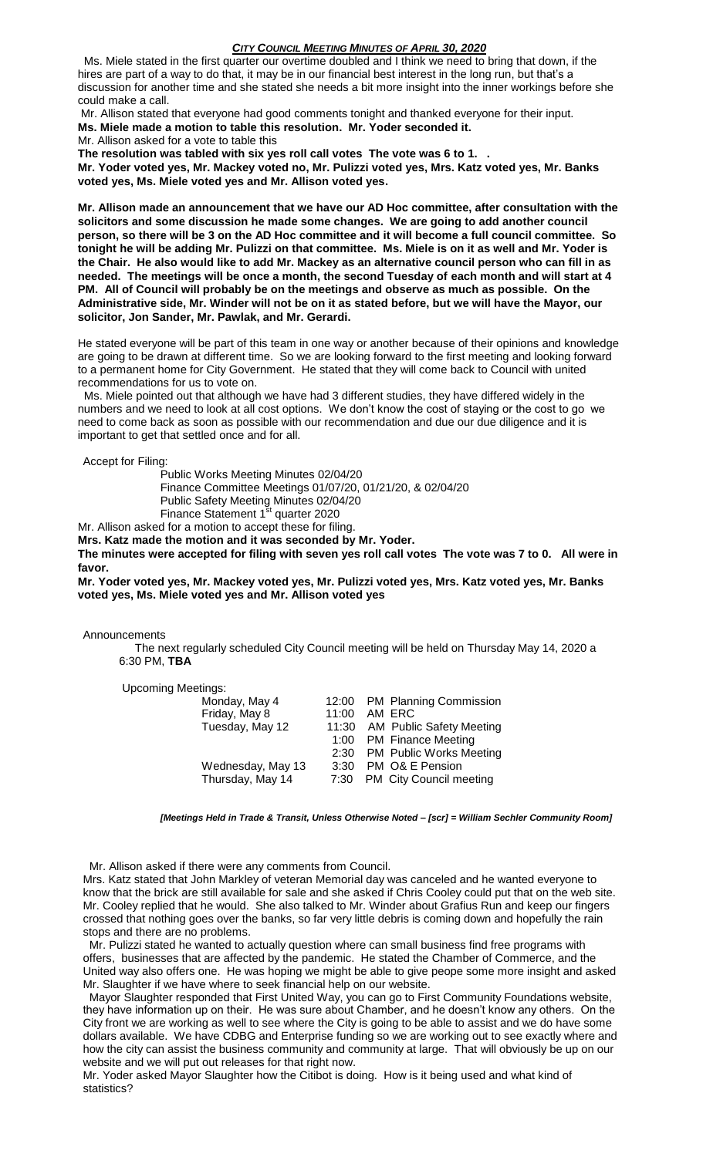#### *CITY COUNCIL MEETING MINUTES OF APRIL 30, 2020*

 Ms. Miele stated in the first quarter our overtime doubled and I think we need to bring that down, if the hires are part of a way to do that, it may be in our financial best interest in the long run, but that's a discussion for another time and she stated she needs a bit more insight into the inner workings before she could make a call.

Mr. Allison stated that everyone had good comments tonight and thanked everyone for their input. **Ms. Miele made a motion to table this resolution. Mr. Yoder seconded it.** Mr. Allison asked for a vote to table this

**The resolution was tabled with six yes roll call votes The vote was 6 to 1. .**

**Mr. Yoder voted yes, Mr. Mackey voted no, Mr. Pulizzi voted yes, Mrs. Katz voted yes, Mr. Banks voted yes, Ms. Miele voted yes and Mr. Allison voted yes.**

**Mr. Allison made an announcement that we have our AD Hoc committee, after consultation with the solicitors and some discussion he made some changes. We are going to add another council person, so there will be 3 on the AD Hoc committee and it will become a full council committee. So tonight he will be adding Mr. Pulizzi on that committee. Ms. Miele is on it as well and Mr. Yoder is the Chair. He also would like to add Mr. Mackey as an alternative council person who can fill in as needed. The meetings will be once a month, the second Tuesday of each month and will start at 4 PM. All of Council will probably be on the meetings and observe as much as possible. On the Administrative side, Mr. Winder will not be on it as stated before, but we will have the Mayor, our solicitor, Jon Sander, Mr. Pawlak, and Mr. Gerardi.** 

He stated everyone will be part of this team in one way or another because of their opinions and knowledge are going to be drawn at different time. So we are looking forward to the first meeting and looking forward to a permanent home for City Government. He stated that they will come back to Council with united recommendations for us to vote on.

 Ms. Miele pointed out that although we have had 3 different studies, they have differed widely in the numbers and we need to look at all cost options. We don't know the cost of staying or the cost to go we need to come back as soon as possible with our recommendation and due our due diligence and it is important to get that settled once and for all.

Accept for Filing:

Public Works Meeting Minutes 02/04/20 Finance Committee Meetings 01/07/20, 01/21/20, & 02/04/20 Public Safety Meeting Minutes 02/04/20

Finance Statement 1<sup>st</sup> quarter 2020

Mr. Allison asked for a motion to accept these for filing.

**Mrs. Katz made the motion and it was seconded by Mr. Yoder.**

**The minutes were accepted for filing with seven yes roll call votes The vote was 7 to 0. All were in favor.**

**Mr. Yoder voted yes, Mr. Mackey voted yes, Mr. Pulizzi voted yes, Mrs. Katz voted yes, Mr. Banks voted yes, Ms. Miele voted yes and Mr. Allison voted yes**

Announcements

 The next regularly scheduled City Council meeting will be held on Thursday May 14, 2020 a 6:30 PM, **TBA**

Upcoming Meetings:

| Monday, May 4     |       | 12:00 PM Planning Commission    |
|-------------------|-------|---------------------------------|
| Friday, May 8     | 11:00 | AM ERC                          |
| Tuesday, May 12   | 11:30 | <b>AM Public Safety Meeting</b> |
|                   |       | 1:00 PM Finance Meeting         |
|                   |       | 2:30 PM Public Works Meeting    |
| Wednesday, May 13 | 3:30  | PM O& E Pension                 |
| Thursday, May 14  |       | 7:30 PM City Council meeting    |
|                   |       |                                 |

*[Meetings Held in Trade & Transit, Unless Otherwise Noted – [scr] = William Sechler Community Room]*

Mr. Allison asked if there were any comments from Council.

Mrs. Katz stated that John Markley of veteran Memorial day was canceled and he wanted everyone to know that the brick are still available for sale and she asked if Chris Cooley could put that on the web site. Mr. Cooley replied that he would. She also talked to Mr. Winder about Grafius Run and keep our fingers crossed that nothing goes over the banks, so far very little debris is coming down and hopefully the rain stops and there are no problems.

 Mr. Pulizzi stated he wanted to actually question where can small business find free programs with offers, businesses that are affected by the pandemic. He stated the Chamber of Commerce, and the United way also offers one. He was hoping we might be able to give peope some more insight and asked Mr. Slaughter if we have where to seek financial help on our website.

 Mayor Slaughter responded that First United Way, you can go to First Community Foundations website, they have information up on their. He was sure about Chamber, and he doesn't know any others. On the City front we are working as well to see where the City is going to be able to assist and we do have some dollars available. We have CDBG and Enterprise funding so we are working out to see exactly where and how the city can assist the business community and community at large. That will obviously be up on our website and we will put out releases for that right now.

Mr. Yoder asked Mayor Slaughter how the Citibot is doing. How is it being used and what kind of statistics?